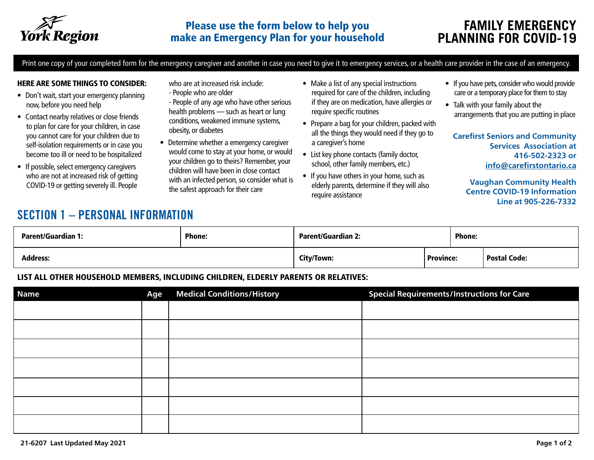

Print one copy of your completed form for the emergency caregiver and another in case you need to give it to emergency services, or a health care provider in the case of an emergency.

#### HERE ARE SOME THINGS TO CONSIDER:

- Don't wait, start your emergency planning now, before you need help
- Contact nearby relatives or close friends to plan for care for your children, in case you cannot care for your children due to self-isolation requirements or in case you become too ill or need to be hospitalized
- If possible, select emergency caregivers who are not at increased risk of getting COVID-19 or getting severely ill. People

who are at increased risk include:

- People who are older
- People of any age who have other serious health problems — such as heart or lung conditions, weakened immune systems, obesity, or diabetes
- Determine whether a emergency caregiver would come to stay at your home, or would your children go to theirs? Remember, your children will have been in close contact with an infected person, so consider what is the safest approach for their care
- Make a list of any special instructions required for care of the children, including if they are on medication, have allergies or require specific routines
- Prepare a bag for your children, packed with all the things they would need if they go to a caregiver's home
- List key phone contacts (family doctor, school, other family members, etc.)
- If you have others in your home, such as elderly parents, determine if they will also require assistance
- If you have pets, consider who would provide care or a temporary place for them to stay
- Talk with your family about the arrangements that you are putting in place

**Carefirst Seniors and Community Services Association at 416-502-2323 or [info@carefirstontario.ca](mailto:info%40carefirstontario.ca%20?subject=)**

> **Vaughan Community Health Centre COVID-19 Information Line at 905-226-7332**

# SECTION 1 – PERSONAL INFORMATION

| <b>Parent/Guardian 1:</b> | <b>Phone:</b> | <b>Parent/Guardian 2:</b> |                  | <b>Phone:</b> |                     |  |
|---------------------------|---------------|---------------------------|------------------|---------------|---------------------|--|
| <b>Address:</b>           |               | City/Town:                | <b>Province:</b> |               | <b>Postal Code:</b> |  |

#### LIST ALL OTHER HOUSEHOLD MEMBERS, INCLUDING CHILDREN, ELDERLY PARENTS OR RELATIVES:

| <b>Name</b> | Age | <b>Medical Conditions/History</b> | <b>Special Requirements/Instructions for Care</b> |
|-------------|-----|-----------------------------------|---------------------------------------------------|
|             |     |                                   |                                                   |
|             |     |                                   |                                                   |
|             |     |                                   |                                                   |
|             |     |                                   |                                                   |
|             |     |                                   |                                                   |
|             |     |                                   |                                                   |
|             |     |                                   |                                                   |